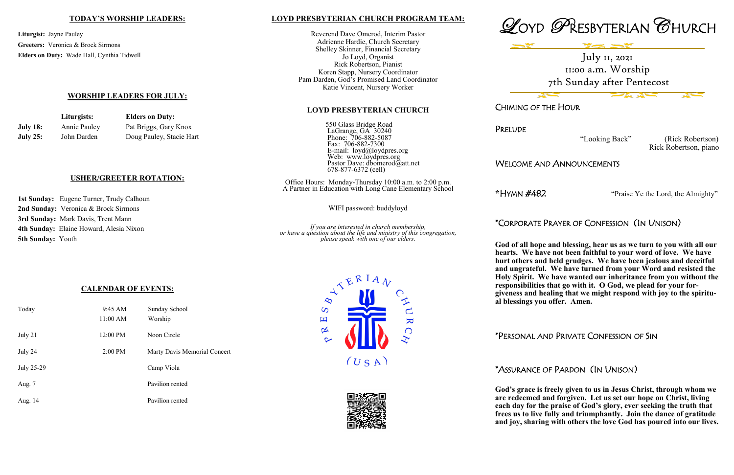### **LOYD PRESBYTERIAN CHURCH PROGRAM TEAM:**

Reverend Dave Omerod, Interim Pastor Adrienne Hardie, Church Secretary Shelley Skinner, Financial Secretary Jo Loyd, Organist Rick Robertson, Pianist Koren Stapp, Nursery Coordinator Pam Darden, God's Promised Land Coordinator Katie Vincent, Nursery Worker

#### **LOYD PRESBYTERIAN CHURCH**

550 Glass Bridge Road LaGrange, GA 30240 Phone: 706-882-5087 Fax: 706-882-7300 E-mail: loyd@loydpres.org Web: www.loydpres.org Pastor Dave: dbomerod@att.net 678-877-6372 (cell)

Office Hours: Monday-Thursday 10:00 a.m. to 2:00 p.m. A Partner in Education with Long Cane Elementary School

WIFI password: buddyloyd

*If you are interested in church membership, or have a question about the life and ministry of this congregation, please speak with one of our elders.*







**PRELUDE** 

CHIMING OF THE HOUR

 "Looking Back" (Rick Robertson) Rick Robertson, piano

## WELCOME AND ANNOUNCEMENTS

**\***HYMN #482 "Praise Ye the Lord, the Almighty"

# \*CORPORATE PRAYER OF CONFESSION (IN UNISON)

**God of all hope and blessing, hear us as we turn to you with all our hearts. We have not been faithful to your word of love. We have hurt others and held grudges. We have been jealous and deceitful and ungrateful. We have turned from your Word and resisted the Holy Spirit. We have wanted our inheritance from you without the responsibilities that go with it. O God, we plead for your forgiveness and healing that we might respond with joy to the spiritual blessings you offer. Amen.**

\*PERSONAL AND PRIVATE CONFESSION OF SIN

# \*ASSURANCE OF PARDON (IN UNISON)

**God's grace is freely given to us in Jesus Christ, through whom we are redeemed and forgiven. Let us set our hope on Christ, living each day for the praise of God's glory, ever seeking the truth that frees us to live fully and triumphantly. Join the dance of gratitude and joy, sharing with others the love God has poured into our lives.**

### **TODAY'S WORSHIP LEADERS:**

**Liturgist:** Jayne Pauley **Greeters:** Veronica & Brock Sirmons **Elders on Duty:** Wade Hall, Cynthia Tidwell

## **WORSHIP LEADERS FOR JULY:**

|                 | Liturgists:  | <b>Elders on Duty:</b>   |
|-----------------|--------------|--------------------------|
| <b>July 18:</b> | Annie Pauley | Pat Briggs, Gary Knox    |
| <b>July 25:</b> | John Darden  | Doug Pauley, Stacie Hart |

## **USHER/GREETER ROTATION:**

**1st Sunday:** Eugene Turner, Trudy Calhoun **2nd Sunday:** Veronica & Brock Sirmons **3rd Sunday:** Mark Davis, Trent Mann **4th Sunday:** Elaine Howard, Alesia Nixon **5th Sunday:** Youth

## **CALENDAR OF EVENTS:**

| Today      | 9:45 AM<br>11:00 AM | Sunday School<br>Worship     |
|------------|---------------------|------------------------------|
| July 21    | 12:00 PM            | Noon Circle                  |
| July 24    | 2:00 PM             | Marty Davis Memorial Concert |
| July 25-29 |                     | Camp Viola                   |
| Aug. 7     |                     | Pavilion rented              |
| Aug. 14    |                     | Pavilion rented              |

July 11, 2021 11:00 a.m. Worship 7th Sunday after Pentecost